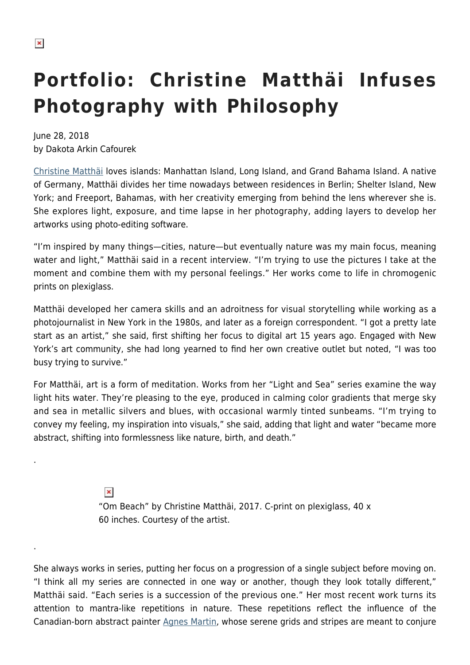.

.

# **Portfolio: Christine Matthäi Infuses Photography with Philosophy**

June 28, 2018 by Dakota Arkin Cafourek

[Christine Matthäi](http://www.christinematthai.com/) loves islands: Manhattan Island, Long Island, and Grand Bahama Island. A native of Germany, Matthäi divides her time nowadays between residences in Berlin; Shelter Island, New York; and Freeport, Bahamas, with her creativity emerging from behind the lens wherever she is. She explores light, exposure, and time lapse in her photography, adding layers to develop her artworks using photo-editing software.

"I'm inspired by many things—cities, nature—but eventually nature was my main focus, meaning water and light," Matthäi said in a recent interview. "I'm trying to use the pictures I take at the moment and combine them with my personal feelings." Her works come to life in chromogenic prints on plexiglass.

Matthäi developed her camera skills and an adroitness for visual storytelling while working as a photojournalist in New York in the 1980s, and later as a foreign correspondent. "I got a pretty late start as an artist," she said, first shifting her focus to digital art 15 years ago. Engaged with New York's art community, she had long yearned to find her own creative outlet but noted, "I was too busy trying to survive."

For Matthäi, art is a form of meditation. Works from her "Light and Sea" series examine the way light hits water. They're pleasing to the eye, produced in calming color gradients that merge sky and sea in metallic silvers and blues, with occasional warmly tinted sunbeams. "I'm trying to convey my feeling, my inspiration into visuals," she said, adding that light and water "became more abstract, shifting into formlessness like nature, birth, and death."

> $\pmb{\times}$ "Om Beach" by Christine Matthäi, 2017. C-print on plexiglass, 40 x 60 inches. Courtesy of the artist.

She always works in series, putting her focus on a progression of a single subject before moving on. "I think all my series are connected in one way or another, though they look totally different," Matthäi said. "Each series is a succession of the previous one." Her most recent work turns its attention to mantra-like repetitions in nature. These repetitions reflect the influence of the Canadian-born abstract painter [Agnes Martin](https://hamptonsarthub.com/2016/10/12/nyc-museum-highlight-agnes-martin-at-the-guggenheim/), whose serene grids and stripes are meant to conjure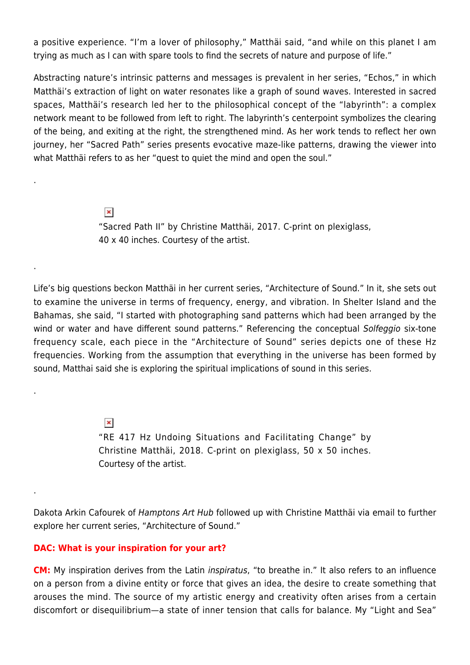a positive experience. "I'm a lover of philosophy," Matthäi said, "and while on this planet I am trying as much as I can with spare tools to find the secrets of nature and purpose of life."

Abstracting nature's intrinsic patterns and messages is prevalent in her series, "Echos," in which Matthäi's extraction of light on water resonates like a graph of sound waves. Interested in sacred spaces, Matthäi's research led her to the philosophical concept of the "labyrinth": a complex network meant to be followed from left to right. The labyrinth's centerpoint symbolizes the clearing of the being, and exiting at the right, the strengthened mind. As her work tends to reflect her own journey, her "Sacred Path" series presents evocative maze-like patterns, drawing the viewer into what Matthäi refers to as her "quest to quiet the mind and open the soul."

> $\pmb{\times}$ "Sacred Path II" by Christine Matthäi, 2017. C-print on plexiglass, 40 x 40 inches. Courtesy of the artist.

Life's big questions beckon Matthäi in her current series, "Architecture of Sound." In it, she sets out to examine the universe in terms of frequency, energy, and vibration. In Shelter Island and the Bahamas, she said, "I started with photographing sand patterns which had been arranged by the wind or water and have different sound patterns." Referencing the conceptual Solfeggio six-tone frequency scale, each piece in the "Architecture of Sound" series depicts one of these Hz frequencies. Working from the assumption that everything in the universe has been formed by sound, Matthai said she is exploring the spiritual implications of sound in this series.

> $\pmb{\times}$ "RE 417 Hz Undoing Situations and Facilitating Change" by Christine Matthäi, 2018. C-print on plexiglass, 50 x 50 inches. Courtesy of the artist.

Dakota Arkin Cafourek of Hamptons Art Hub followed up with Christine Matthäi via email to further explore her current series, "Architecture of Sound."

### **DAC: What is your inspiration for your art?**

.

.

.

.

**CM:** My inspiration derives from the Latin inspiratus, "to breathe in." It also refers to an influence on a person from a divine entity or force that gives an idea, the desire to create something that arouses the mind. The source of my artistic energy and creativity often arises from a certain discomfort or disequilibrium—a state of inner tension that calls for balance. My "Light and Sea"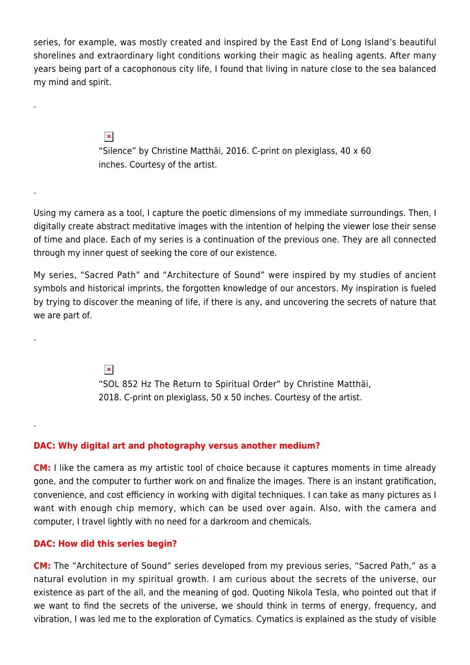series, for example, was mostly created and inspired by the East End of Long Island's beautiful shorelines and extraordinary light conditions working their magic as healing agents. After many years being part of a cacophonous city life, I found that living in nature close to the sea balanced my mind and spirit.

> $\pmb{\times}$ "Silence" by Christine Matthäi, 2016. C-print on plexiglass, 40 x 60 inches. Courtesy of the artist.

Using my camera as a tool, I capture the poetic dimensions of my immediate surroundings. Then, I digitally create abstract meditative images with the intention of helping the viewer lose their sense of time and place. Each of my series is a continuation of the previous one. They are all connected through my inner quest of seeking the core of our existence.

My series, "Sacred Path" and "Architecture of Sound" were inspired by my studies of ancient symbols and historical imprints, the forgotten knowledge of our ancestors. My inspiration is fueled by trying to discover the meaning of life, if there is any, and uncovering the secrets of nature that we are part of.

> $\pmb{\times}$ "SOL 852 Hz The Return to Spiritual Order" by Christine Matthäi, 2018. C-print on plexiglass, 50 x 50 inches. Courtesy of the artist.

### **DAC: Why digital art and photography versus another medium?**

**CM:** I like the camera as my artistic tool of choice because it captures moments in time already gone, and the computer to further work on and finalize the images. There is an instant gratification, convenience, and cost efficiency in working with digital techniques. I can take as many pictures as I want with enough chip memory, which can be used over again. Also, with the camera and computer, I travel lightly with no need for a darkroom and chemicals.

### **DAC: How did this series begin?**

.

.

.

.

**CM:** The "Architecture of Sound" series developed from my previous series, "Sacred Path," as a natural evolution in my spiritual growth. I am curious about the secrets of the universe, our existence as part of the all, and the meaning of god. Quoting Nikola Tesla, who pointed out that if we want to find the secrets of the universe, we should think in terms of energy, frequency, and vibration, I was led me to the exploration of Cymatics. Cymatics is explained as the study of visible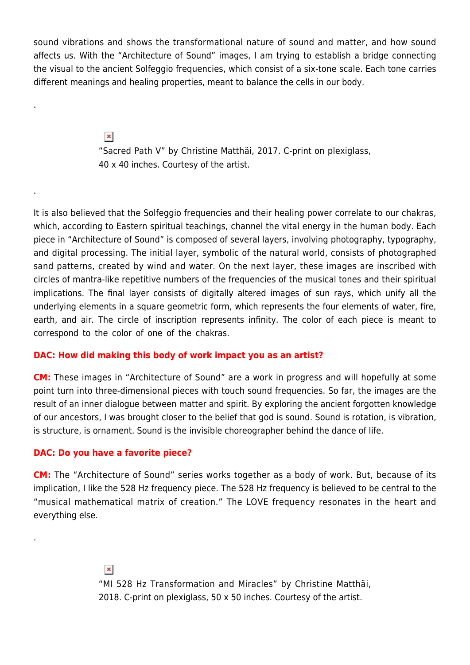sound vibrations and shows the transformational nature of sound and matter, and how sound affects us. With the "Architecture of Sound" images, I am trying to establish a bridge connecting the visual to the ancient Solfeggio frequencies, which consist of a six-tone scale. Each tone carries different meanings and healing properties, meant to balance the cells in our body.

> $\pmb{\times}$ "Sacred Path V" by Christine Matthäi, 2017. C-print on plexiglass, 40 x 40 inches. Courtesy of the artist.

It is also believed that the Solfeggio frequencies and their healing power correlate to our chakras, which, according to Eastern spiritual teachings, channel the vital energy in the human body. Each piece in "Architecture of Sound" is composed of several layers, involving photography, typography, and digital processing. The initial layer, symbolic of the natural world, consists of photographed sand patterns, created by wind and water. On the next layer, these images are inscribed with circles of mantra-like repetitive numbers of the frequencies of the musical tones and their spiritual implications. The final layer consists of digitally altered images of sun rays, which unify all the underlying elements in a square geometric form, which represents the four elements of water, fire, earth, and air. The circle of inscription represents infinity. The color of each piece is meant to correspond to the color of one of the chakras.

## **DAC: How did making this body of work impact you as an artist?**

**CM:** These images in "Architecture of Sound" are a work in progress and will hopefully at some point turn into three-dimensional pieces with touch sound frequencies. So far, the images are the result of an inner dialogue between matter and spirit. By exploring the ancient forgotten knowledge of our ancestors, I was brought closer to the belief that god is sound. Sound is rotation, is vibration, is structure, is ornament. Sound is the invisible choreographer behind the dance of life.

### **DAC: Do you have a favorite piece?**

.

.

.

**CM:** The "Architecture of Sound" series works together as a body of work. But, because of its implication, I like the 528 Hz frequency piece. The 528 Hz frequency is believed to be central to the "musical mathematical matrix of creation." The LOVE frequency resonates in the heart and everything else.

> $\pmb{\times}$ "MI 528 Hz Transformation and Miracles" by Christine Matthäi, 2018. C-print on plexiglass, 50 x 50 inches. Courtesy of the artist.